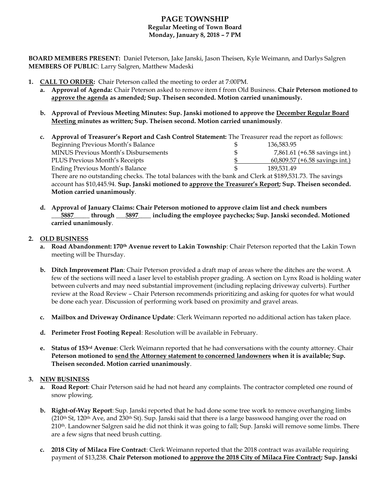# **PAGE TOWNSHIP Regular Meeting of Town Board Monday, January 8, 2018 – 7 PM**

**BOARD MEMBERS PRESENT:** Daniel Peterson, Jake Janski, Jason Theisen, Kyle Weimann, and Darlys Salgren **MEMBERS OF PUBLIC**: Larry Salgren, Matthew Madeski

- **1. CALL TO ORDER:** Chair Peterson called the meeting to order at 7:00PM.
	- **a. Approval of Agenda:** Chair Peterson asked to remove item f from Old Business. **Chair Peterson motioned to approve the agenda as amended; Sup. Theisen seconded. Motion carried unanimously.**
	- **b. Approval of Previous Meeting Minutes: Sup. Janski motioned to approve the December Regular Board Meeting minutes as written; Sup. Theisen second. Motion carried unanimously**.

| $c_{\cdot}$ | Approval of Treasurer's Report and Cash Control Statement: The Treasurer read the report as follows:     |   |            |                                         |
|-------------|----------------------------------------------------------------------------------------------------------|---|------------|-----------------------------------------|
|             | Beginning Previous Month's Balance                                                                       |   | 136,583.95 |                                         |
|             | MINUS Previous Month's Disbursements                                                                     | S |            | 7,861.61 $(+6.58 \text{ savings int.})$ |
|             | PLUS Previous Month's Receipts                                                                           |   |            | 60,809.57 (+6.58 savings int.)          |
|             | <b>Ending Previous Month's Balance</b>                                                                   |   | 189.531.49 |                                         |
|             | There are no outstanding checks. The total balances with the bank and Clerk at \$189,531.73. The savings |   |            |                                         |
|             | account has \$10,445.94. Sup. Janski motioned to approve the Treasurer's Report; Sup. Theisen seconded.  |   |            |                                         |
|             | Motion carried unanimously.                                                                              |   |            |                                         |

**d. Approval of January Claims: Chair Peterson motioned to approve claim list and check numbers \_\_\_5887\_\_\_\_\_ through \_\_\_5897\_\_\_\_ including the employee paychecks; Sup. Janski seconded. Motioned carried unanimously**.

## **2. OLD BUSINESS**

- **a. Road Abandonment: 170th Avenue revert to Lakin Township**: Chair Peterson reported that the Lakin Town meeting will be Thursday.
- **b. Ditch Improvement Plan**: Chair Peterson provided a draft map of areas where the ditches are the worst. A few of the sections will need a laser level to establish proper grading. A section on Lynx Road is holding water between culverts and may need substantial improvement (including replacing driveway culverts). Further review at the Road Review – Chair Peterson recommends prioritizing and asking for quotes for what would be done each year. Discussion of performing work based on proximity and gravel areas.
- **c. Mailbox and Driveway Ordinance Update**: Clerk Weimann reported no additional action has taken place.
- **d. Perimeter Frost Footing Repeal**: Resolution will be available in February.
- **e. Status of 153rd Avenue**: Clerk Weimann reported that he had conversations with the county attorney. Chair **Peterson motioned to send the Attorney statement to concerned landowners when it is available; Sup. Theisen seconded. Motion carried unanimously**.

## **3. NEW BUSINESS**

- **a. Road Report**: Chair Peterson said he had not heard any complaints. The contractor completed one round of snow plowing.
- **b. Right-of-Way Report**: Sup. Janski reported that he had done some tree work to remove overhanging limbs  $(210<sup>th</sup>$  St, 120<sup>th</sup> Ave, and 230<sup>th</sup> St). Sup. Janski said that there is a large basswood hanging over the road on 210<sup>th</sup>. Landowner Salgren said he did not think it was going to fall; Sup. Janski will remove some limbs. There are a few signs that need brush cutting.
- **c. 2018 City of Milaca Fire Contract**: Clerk Weimann reported that the 2018 contract was available requiring payment of \$13,238. **Chair Peterson motioned to approve the 2018 City of Milaca Fire Contract; Sup. Janski**